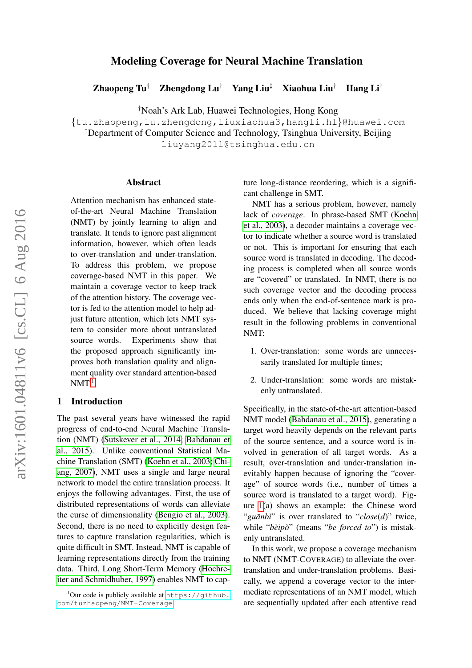# Modeling Coverage for Neural Machine Translation

Zhaopeng Tu<sup>†</sup> Zhengdong Lu<sup>†</sup> Yang Liu<sup>‡</sup> Xiaohua Liu<sup>†</sup> Hang Li<sup>†</sup>

†Noah's Ark Lab, Huawei Technologies, Hong Kong

{tu.zhaopeng,lu.zhengdong,liuxiaohua3,hangli.hl}@huawei.com

‡Department of Computer Science and Technology, Tsinghua University, Beijing

liuyang2011@tsinghua.edu.cn

#### Abstract

Attention mechanism has enhanced stateof-the-art Neural Machine Translation (NMT) by jointly learning to align and translate. It tends to ignore past alignment information, however, which often leads to over-translation and under-translation. To address this problem, we propose coverage-based NMT in this paper. We maintain a coverage vector to keep track of the attention history. The coverage vector is fed to the attention model to help adjust future attention, which lets NMT system to consider more about untranslated source words. Experiments show that the proposed approach significantly improves both translation quality and alignment quality over standard attention-based  $NMT<sup>1</sup>$  $NMT<sup>1</sup>$  $NMT<sup>1</sup>$ 

#### 1 Introduction

The past several years have witnessed the rapid progress of end-to-end Neural Machine Translation (NMT) [\(Sutskever et al., 2014;](#page-10-0) [Bahdanau et](#page-9-0) [al., 2015\)](#page-9-0). Unlike conventional Statistical Machine Translation (SMT) [\(Koehn et al., 2003;](#page-9-1) [Chi](#page-9-2)[ang, 2007\)](#page-9-2), NMT uses a single and large neural network to model the entire translation process. It enjoys the following advantages. First, the use of distributed representations of words can alleviate the curse of dimensionality [\(Bengio et al., 2003\)](#page-9-3). Second, there is no need to explicitly design features to capture translation regularities, which is quite difficult in SMT. Instead, NMT is capable of learning representations directly from the training data. Third, Long Short-Term Memory [\(Hochre](#page-9-4)[iter and Schmidhuber, 1997\)](#page-9-4) enables NMT to capture long-distance reordering, which is a significant challenge in SMT.

NMT has a serious problem, however, namely lack of *coverage*. In phrase-based SMT [\(Koehn](#page-9-1) [et al., 2003\)](#page-9-1), a decoder maintains a coverage vector to indicate whether a source word is translated or not. This is important for ensuring that each source word is translated in decoding. The decoding process is completed when all source words are "covered" or translated. In NMT, there is no such coverage vector and the decoding process ends only when the end-of-sentence mark is produced. We believe that lacking coverage might result in the following problems in conventional NMT:

- 1. Over-translation: some words are unnecessarily translated for multiple times;
- 2. Under-translation: some words are mistakenly untranslated.

Specifically, in the state-of-the-art attention-based NMT model [\(Bahdanau et al., 2015\)](#page-9-0), generating a target word heavily depends on the relevant parts of the source sentence, and a source word is involved in generation of all target words. As a result, over-translation and under-translation inevitably happen because of ignoring the "coverage" of source words (i.e., number of times a source word is translated to a target word). Figure [1\(](#page-1-0)a) shows an example: the Chinese word "*guānbi*" is over translated to "*close(d)*" twice, while "*bèipò*" (means "*be forced to*") is mistakenly untranslated.

In this work, we propose a coverage mechanism to NMT (NMT-COVERAGE) to alleviate the overtranslation and under-translation problems. Basically, we append a coverage vector to the intermediate representations of an NMT model, which are sequentially updated after each attentive read

<span id="page-0-0"></span> $1$ Our code is publicly available at [https://github.](https://github.com/tuzhaopeng/NMT-Coverage) [com/tuzhaopeng/NMT-Coverage](https://github.com/tuzhaopeng/NMT-Coverage).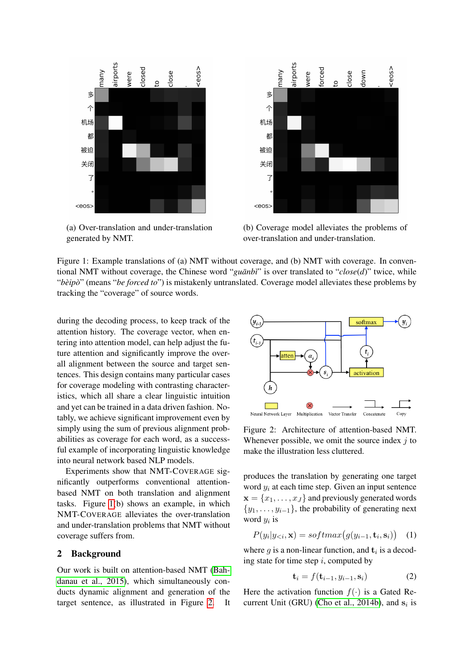<span id="page-1-0"></span>

(a) Over-translation and under-translation generated by NMT.



(b) Coverage model alleviates the problems of over-translation and under-translation.

Figure 1: Example translations of (a) NMT without coverage, and (b) NMT with coverage. In conventional NMT without coverage, the Chinese word " $\alpha$ *uanbi*" is over translated to " $\alpha$ *lose*(*d*)" twice, while "*beip ` o`*" (means "*be forced to*") is mistakenly untranslated. Coverage model alleviates these problems by tracking the "coverage" of source words.

during the decoding process, to keep track of the attention history. The coverage vector, when entering into attention model, can help adjust the future attention and significantly improve the overall alignment between the source and target sentences. This design contains many particular cases for coverage modeling with contrasting characteristics, which all share a clear linguistic intuition and yet can be trained in a data driven fashion. Notably, we achieve significant improvement even by simply using the sum of previous alignment probabilities as coverage for each word, as a successful example of incorporating linguistic knowledge into neural network based NLP models.

Experiments show that NMT-COVERAGE significantly outperforms conventional attentionbased NMT on both translation and alignment tasks. Figure [1\(](#page-1-0)b) shows an example, in which NMT-COVERAGE alleviates the over-translation and under-translation problems that NMT without coverage suffers from.

## 2 Background

Our work is built on attention-based NMT [\(Bah](#page-9-0)[danau et al., 2015\)](#page-9-0), which simultaneously conducts dynamic alignment and generation of the target sentence, as illustrated in Figure [2.](#page-1-1) It

<span id="page-1-1"></span>

Figure 2: Architecture of attention-based NMT. Whenever possible, we omit the source index  $i$  to make the illustration less cluttered.

produces the translation by generating one target word  $y_i$  at each time step. Given an input sentence  $\mathbf{x} = \{x_1, \dots, x_J\}$  and previously generated words  $\{y_1, \ldots, y_{i-1}\}\$ , the probability of generating next word  $y_i$  is

$$
P(y_i|y_{< i}, \mathbf{x}) = softmax(g(y_{i-1}, \mathbf{t}_i, \mathbf{s}_i)) \quad (1)
$$

where g is a non-linear function, and  $t_i$  is a decoding state for time step  $i$ , computed by

$$
\mathbf{t}_i = f(\mathbf{t}_{i-1}, y_{i-1}, \mathbf{s}_i) \tag{2}
$$

Here the activation function  $f(\cdot)$  is a Gated Re-current Unit (GRU) [\(Cho et al., 2014b\)](#page-9-5), and  $s_i$  is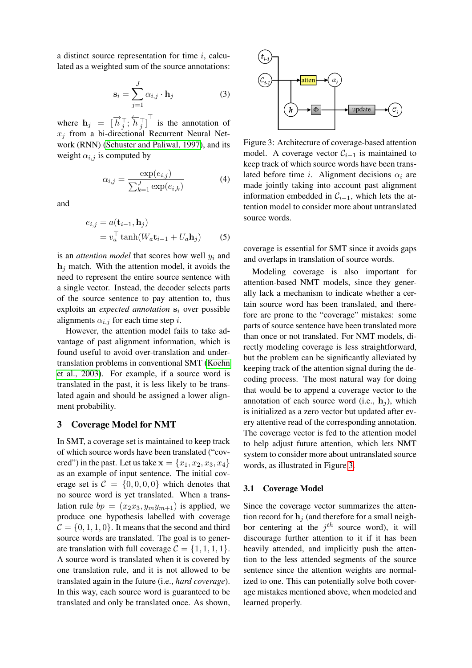a distinct source representation for time  $i$ , calculated as a weighted sum of the source annotations:

$$
\mathbf{s}_{i} = \sum_{j=1}^{J} \alpha_{i,j} \cdot \mathbf{h}_{j}
$$
 (3)

where  $\mathbf{h}_j = [\vec{h}_j^{\top}; \overleftarrow{h}_j^{\top}]^{\top}$  is the annotation of  $x_j$  from a bi-directional Recurrent Neural Network (RNN) [\(Schuster and Paliwal, 1997\)](#page-10-1), and its weight  $\alpha_{i,j}$  is computed by

$$
\alpha_{i,j} = \frac{\exp(e_{i,j})}{\sum_{k=1}^{J} \exp(e_{i,k})}
$$
(4)

and

$$
e_{i,j} = a(\mathbf{t}_{i-1}, \mathbf{h}_j)
$$
  
=  $v_a^\top \tanh(W_a \mathbf{t}_{i-1} + U_a \mathbf{h}_j)$  (5)

is an *attention model* that scores how well  $y_i$  and  $h_i$  match. With the attention model, it avoids the need to represent the entire source sentence with a single vector. Instead, the decoder selects parts of the source sentence to pay attention to, thus exploits an *expected annotation*  $s_i$  over possible alignments  $\alpha_{i,j}$  for each time step i.

However, the attention model fails to take advantage of past alignment information, which is found useful to avoid over-translation and undertranslation problems in conventional SMT [\(Koehn](#page-9-1) [et al., 2003\)](#page-9-1). For example, if a source word is translated in the past, it is less likely to be translated again and should be assigned a lower alignment probability.

## 3 Coverage Model for NMT

In SMT, a coverage set is maintained to keep track of which source words have been translated ("covered") in the past. Let us take  $\mathbf{x} = \{x_1, x_2, x_3, x_4\}$ as an example of input sentence. The initial coverage set is  $C = \{0, 0, 0, 0\}$  which denotes that no source word is yet translated. When a translation rule  $bp = (x_2x_3, y_my_{m+1})$  is applied, we produce one hypothesis labelled with coverage  $C = \{0, 1, 1, 0\}$ . It means that the second and third source words are translated. The goal is to generate translation with full coverage  $C = \{1, 1, 1, 1\}.$ A source word is translated when it is covered by one translation rule, and it is not allowed to be translated again in the future (i.e., *hard coverage*). In this way, each source word is guaranteed to be translated and only be translated once. As shown,

<span id="page-2-0"></span>

Figure 3: Architecture of coverage-based attention model. A coverage vector  $C_{i-1}$  is maintained to keep track of which source words have been translated before time i. Alignment decisions  $\alpha_i$  are made jointly taking into account past alignment information embedded in  $C_{i-1}$ , which lets the attention model to consider more about untranslated source words.

<span id="page-2-1"></span>coverage is essential for SMT since it avoids gaps and overlaps in translation of source words.

Modeling coverage is also important for attention-based NMT models, since they generally lack a mechanism to indicate whether a certain source word has been translated, and therefore are prone to the "coverage" mistakes: some parts of source sentence have been translated more than once or not translated. For NMT models, directly modeling coverage is less straightforward, but the problem can be significantly alleviated by keeping track of the attention signal during the decoding process. The most natural way for doing that would be to append a coverage vector to the annotation of each source word (i.e.,  $h_i$ ), which is initialized as a zero vector but updated after every attentive read of the corresponding annotation. The coverage vector is fed to the attention model to help adjust future attention, which lets NMT system to consider more about untranslated source words, as illustrated in Figure [3.](#page-2-0)

#### 3.1 Coverage Model

Since the coverage vector summarizes the attention record for  $\mathbf{h}_i$  (and therefore for a small neighbor centering at the  $j<sup>th</sup>$  source word), it will discourage further attention to it if it has been heavily attended, and implicitly push the attention to the less attended segments of the source sentence since the attention weights are normalized to one. This can potentially solve both coverage mistakes mentioned above, when modeled and learned properly.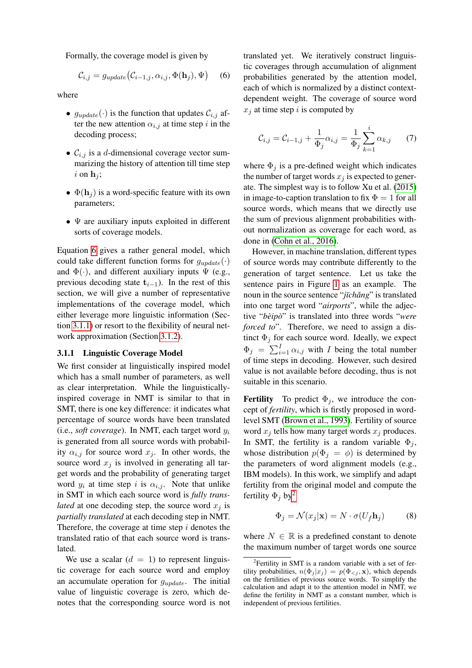Formally, the coverage model is given by

$$
\mathcal{C}_{i,j} = g_{update}(\mathcal{C}_{i-1,j}, \alpha_{i,j}, \Phi(\mathbf{h}_j), \Psi) \quad (6)
$$

where

- $g_{update}(\cdot)$  is the function that updates  $\mathcal{C}_{i,j}$  after the new attention  $\alpha_{i,j}$  at time step i in the decoding process;
- $C_{i,j}$  is a d-dimensional coverage vector summarizing the history of attention till time step i on  $\mathbf{h}_i$ ;
- $\Phi(\mathbf{h}_i)$  is a word-specific feature with its own parameters;
- $\bullet \Psi$  are auxiliary inputs exploited in different sorts of coverage models.

Equation [6](#page-3-0) gives a rather general model, which could take different function forms for  $g_{update}(\cdot)$ and  $\Phi(\cdot)$ , and different auxiliary inputs  $\Psi$  (e.g., previous decoding state  $t_{i-1}$ ). In the rest of this section, we will give a number of representative implementations of the coverage model, which either leverage more linguistic information (Section [3.1.1\)](#page-3-1) or resort to the flexibility of neural network approximation (Section [3.1.2\)](#page-4-0).

#### <span id="page-3-1"></span>3.1.1 Linguistic Coverage Model

We first consider at linguistically inspired model which has a small number of parameters, as well as clear interpretation. While the linguisticallyinspired coverage in NMT is similar to that in SMT, there is one key difference: it indicates what percentage of source words have been translated (i.e., *soft coverage*). In NMT, each target word y<sup>i</sup> is generated from all source words with probability  $\alpha_{i,j}$  for source word  $x_j$ . In other words, the source word  $x_j$  is involved in generating all target words and the probability of generating target word  $y_i$  at time step i is  $\alpha_{i,j}$ . Note that unlike in SMT in which each source word is *fully translated* at one decoding step, the source word  $x_i$  is *partially translated* at each decoding step in NMT. Therefore, the coverage at time step  $i$  denotes the translated ratio of that each source word is translated.

We use a scalar  $(d = 1)$  to represent linguistic coverage for each source word and employ an accumulate operation for  $g_{update}$ . The initial value of linguistic coverage is zero, which denotes that the corresponding source word is not <span id="page-3-0"></span>translated yet. We iteratively construct linguistic coverages through accumulation of alignment probabilities generated by the attention model, each of which is normalized by a distinct contextdependent weight. The coverage of source word  $x_i$  at time step i is computed by

$$
\mathcal{C}_{i,j} = \mathcal{C}_{i-1,j} + \frac{1}{\Phi_j} \alpha_{i,j} = \frac{1}{\Phi_j} \sum_{k=1}^{i} \alpha_{k,j} \qquad (7)
$$

where  $\Phi_i$  is a pre-defined weight which indicates the number of target words  $x_i$  is expected to generate. The simplest way is to follow Xu et al. [\(2015\)](#page-10-2) in image-to-caption translation to fix  $\Phi = 1$  for all source words, which means that we directly use the sum of previous alignment probabilities without normalization as coverage for each word, as done in [\(Cohn et al., 2016\)](#page-9-6).

However, in machine translation, different types of source words may contribute differently to the generation of target sentence. Let us take the sentence pairs in Figure [1](#page-1-0) as an example. The noun in the source sentence "*jīchǎng*" is translated into one target word "*airports*", while the adjective "*bèipò*" is translated into three words "were *forced to*". Therefore, we need to assign a distinct  $\Phi_j$  for each source word. Ideally, we expect  $\Phi_j = \sum_{i=1}^I \alpha_{i,j}$  with *I* being the total number of time steps in decoding. However, such desired value is not available before decoding, thus is not suitable in this scenario.

**Fertility** To predict  $\Phi_i$ , we introduce the concept of *fertility*, which is firstly proposed in wordlevel SMT [\(Brown et al., 1993\)](#page-9-7). Fertility of source word  $x_i$  tells how many target words  $x_i$  produces. In SMT, the fertility is a random variable  $\Phi_i$ , whose distribution  $p(\Phi_i = \phi)$  is determined by the parameters of word alignment models (e.g., IBM models). In this work, we simplify and adapt fertility from the original model and compute the fertility  $\Phi_j$  by<sup>[2](#page-3-2)</sup>

$$
\Phi_j = \mathcal{N}(x_j | \mathbf{x}) = N \cdot \sigma(U_f \mathbf{h}_j)
$$
(8)

where  $N \in \mathbb{R}$  is a predefined constant to denote the maximum number of target words one source

<span id="page-3-2"></span><sup>&</sup>lt;sup>2</sup>Fertility in SMT is a random variable with a set of fertility probabilities,  $n(\Phi_j | x_j) = p(\Phi_{\leq j}, \mathbf{x})$ , which depends on the fertilities of previous source words. To simplify the calculation and adapt it to the attention model in NMT, we define the fertility in NMT as a constant number, which is independent of previous fertilities.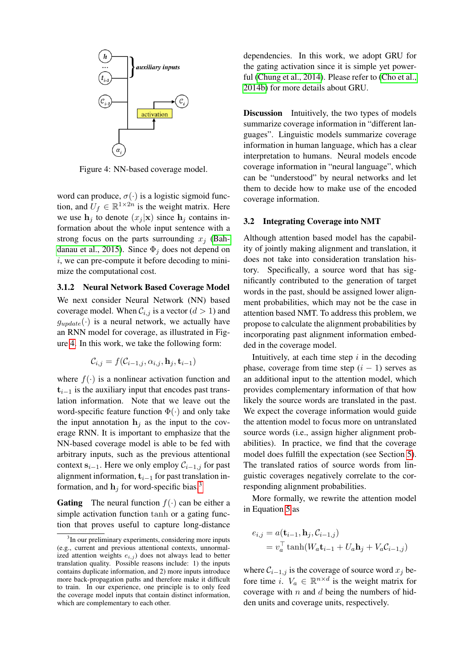<span id="page-4-1"></span>

Figure 4: NN-based coverage model.

word can produce,  $\sigma(\cdot)$  is a logistic sigmoid function, and  $U_f \in \mathbb{R}^{1 \times 2n}$  is the weight matrix. Here we use  $h_i$  to denote  $(x_i | \mathbf{x})$  since  $h_i$  contains information about the whole input sentence with a strong focus on the parts surrounding  $x_i$  [\(Bah](#page-9-0)[danau et al., 2015\)](#page-9-0). Since  $\Phi_i$  does not depend on i, we can pre-compute it before decoding to minimize the computational cost.

<span id="page-4-0"></span>3.1.2 Neural Network Based Coverage Model We next consider Neural Network (NN) based

coverage model. When  $C_{i,j}$  is a vector  $(d > 1)$  and  $g_{update}(\cdot)$  is a neural network, we actually have an RNN model for coverage, as illustrated in Figure [4.](#page-4-1) In this work, we take the following form:

$$
\mathcal{C}_{i,j} = f(\mathcal{C}_{i-1,j}, \alpha_{i,j}, \mathbf{h}_j, \mathbf{t}_{i-1})
$$

where  $f(\cdot)$  is a nonlinear activation function and  $t_{i-1}$  is the auxiliary input that encodes past translation information. Note that we leave out the word-specific feature function  $\Phi(\cdot)$  and only take the input annotation  $h_i$  as the input to the coverage RNN. It is important to emphasize that the NN-based coverage model is able to be fed with arbitrary inputs, such as the previous attentional context  $s_{i-1}$ . Here we only employ  $C_{i-1,j}$  for past alignment information,  $t_{i-1}$  for past translation information, and  $h_j$  for word-specific bias.<sup>[3](#page-4-2)</sup>

**Gating** The neural function  $f(.)$  can be either a simple activation function tanh or a gating function that proves useful to capture long-distance dependencies. In this work, we adopt GRU for the gating activation since it is simple yet powerful [\(Chung et al., 2014\)](#page-9-8). Please refer to [\(Cho et al.,](#page-9-5) [2014b\)](#page-9-5) for more details about GRU.

Discussion Intuitively, the two types of models summarize coverage information in "different languages". Linguistic models summarize coverage information in human language, which has a clear interpretation to humans. Neural models encode coverage information in "neural language", which can be "understood" by neural networks and let them to decide how to make use of the encoded coverage information.

## 3.2 Integrating Coverage into NMT

Although attention based model has the capability of jointly making alignment and translation, it does not take into consideration translation history. Specifically, a source word that has significantly contributed to the generation of target words in the past, should be assigned lower alignment probabilities, which may not be the case in attention based NMT. To address this problem, we propose to calculate the alignment probabilities by incorporating past alignment information embedded in the coverage model.

Intuitively, at each time step  $i$  in the decoding phase, coverage from time step  $(i - 1)$  serves as an additional input to the attention model, which provides complementary information of that how likely the source words are translated in the past. We expect the coverage information would guide the attention model to focus more on untranslated source words (i.e., assign higher alignment probabilities). In practice, we find that the coverage model does fulfill the expectation (see Section [5\)](#page-5-0). The translated ratios of source words from linguistic coverages negatively correlate to the corresponding alignment probabilities.

More formally, we rewrite the attention model in Equation [5](#page-2-1) as

$$
e_{i,j} = a(\mathbf{t}_{i-1}, \mathbf{h}_j, C_{i-1,j})
$$
  
=  $v_a^{\top} \tanh(W_a \mathbf{t}_{i-1} + U_a \mathbf{h}_j + V_a C_{i-1,j})$ 

where  $C_{i-1,j}$  is the coverage of source word  $x_j$  before time i.  $V_a \in \mathbb{R}^{n \times d}$  is the weight matrix for coverage with  $n$  and  $d$  being the numbers of hidden units and coverage units, respectively.

<span id="page-4-2"></span><sup>&</sup>lt;sup>3</sup>In our preliminary experiments, considering more inputs (e.g., current and previous attentional contexts, unnormalized attention weights  $e_{i,j}$ ) does not always lead to better translation quality. Possible reasons include: 1) the inputs contains duplicate information, and 2) more inputs introduce more back-propagation paths and therefore make it difficult to train. In our experience, one principle is to only feed the coverage model inputs that contain distinct information, which are complementary to each other.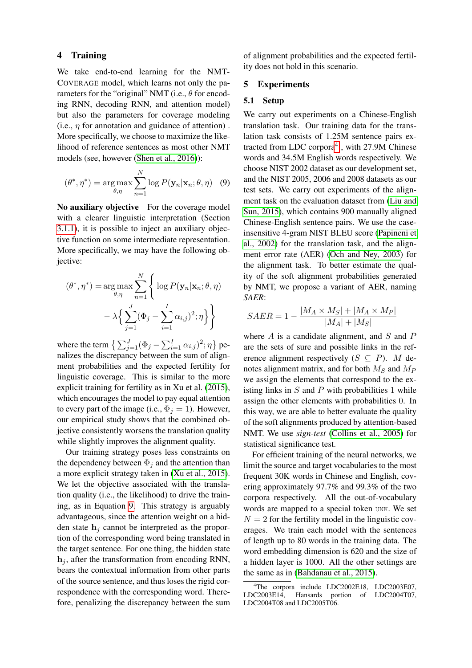#### 4 Training

We take end-to-end learning for the NMT-COVERAGE model, which learns not only the parameters for the "original" NMT (i.e.,  $\theta$  for encoding RNN, decoding RNN, and attention model) but also the parameters for coverage modeling (i.e.,  $\eta$  for annotation and guidance of attention). More specifically, we choose to maximize the likelihood of reference sentences as most other NMT models (see, however [\(Shen et al., 2016\)](#page-10-3)):

$$
(\theta^*, \eta^*) = \underset{\theta, \eta}{\arg \max} \sum_{n=1}^{N} \log P(\mathbf{y}_n | \mathbf{x}_n; \theta, \eta) \quad (9)
$$

No auxiliary objective For the coverage model with a clearer linguistic interpretation (Section [3.1.1\)](#page-3-1), it is possible to inject an auxiliary objective function on some intermediate representation. More specifically, we may have the following objective:

$$
(\theta^*, \eta^*) = \underset{\theta, \eta}{\arg \max} \sum_{n=1}^N \left\{ \log P(\mathbf{y}_n | \mathbf{x}_n; \theta, \eta) - \lambda \left\{ \sum_{j=1}^J (\Phi_j - \sum_{i=1}^I \alpha_{i,j})^2; \eta \right\} \right\}
$$

where the term  $\left\{ \sum_{j=1}^{J} (\Phi_j - \sum_{i=1}^{I} \alpha_{i,j})^2; \eta \right\}$  penalizes the discrepancy between the sum of alignment probabilities and the expected fertility for linguistic coverage. This is similar to the more explicit training for fertility as in Xu et al. [\(2015\)](#page-10-2), which encourages the model to pay equal attention to every part of the image (i.e.,  $\Phi_j = 1$ ). However, our empirical study shows that the combined objective consistently worsens the translation quality while slightly improves the alignment quality.

Our training strategy poses less constraints on the dependency between  $\Phi_j$  and the attention than a more explicit strategy taken in [\(Xu et al., 2015\)](#page-10-2). We let the objective associated with the translation quality (i.e., the likelihood) to drive the training, as in Equation [9.](#page-5-1) This strategy is arguably advantageous, since the attention weight on a hidden state  $h_i$  cannot be interpreted as the proportion of the corresponding word being translated in the target sentence. For one thing, the hidden state  $h_i$ , after the transformation from encoding RNN, bears the contextual information from other parts of the source sentence, and thus loses the rigid correspondence with the corresponding word. Therefore, penalizing the discrepancy between the sum

of alignment probabilities and the expected fertility does not hold in this scenario.

## <span id="page-5-0"></span>5 Experiments

#### 5.1 Setup

<span id="page-5-1"></span>We carry out experiments on a Chinese-English translation task. Our training data for the translation task consists of 1.25M sentence pairs ex-tracted from LDC corpora<sup>[4](#page-5-2)</sup>, with 27.9M Chinese words and 34.5M English words respectively. We choose NIST 2002 dataset as our development set, and the NIST 2005, 2006 and 2008 datasets as our test sets. We carry out experiments of the alignment task on the evaluation dataset from [\(Liu and](#page-10-4) [Sun, 2015\)](#page-10-4), which contains 900 manually aligned Chinese-English sentence pairs. We use the caseinsensitive 4-gram NIST BLEU score [\(Papineni et](#page-10-5) [al., 2002\)](#page-10-5) for the translation task, and the alignment error rate (AER) [\(Och and Ney, 2003\)](#page-10-6) for the alignment task. To better estimate the quality of the soft alignment probabilities generated by NMT, we propose a variant of AER, naming *SAER*:

$$
SAER = 1 - \frac{|M_A \times M_S| + |M_A \times M_P|}{|M_A| + |M_S|}
$$

where  $A$  is a candidate alignment, and  $S$  and  $P$ are the sets of sure and possible links in the reference alignment respectively  $(S \subseteq P)$ . M denotes alignment matrix, and for both  $M<sub>S</sub>$  and  $M<sub>P</sub>$ we assign the elements that correspond to the existing links in  $S$  and  $P$  with probabilities 1 while assign the other elements with probabilities 0. In this way, we are able to better evaluate the quality of the soft alignments produced by attention-based NMT. We use *sign-test* [\(Collins et al., 2005\)](#page-9-9) for statistical significance test.

For efficient training of the neural networks, we limit the source and target vocabularies to the most frequent 30K words in Chinese and English, covering approximately 97.7% and 99.3% of the two corpora respectively. All the out-of-vocabulary words are mapped to a special token UNK. We set  $N = 2$  for the fertility model in the linguistic coverages. We train each model with the sentences of length up to 80 words in the training data. The word embedding dimension is 620 and the size of a hidden layer is 1000. All the other settings are the same as in [\(Bahdanau et al., 2015\)](#page-9-0).

<span id="page-5-2"></span><sup>&</sup>lt;sup>4</sup>The corpora include LDC2002E18, LDC2003E07,<br>LDC2003E14. Hansards portion of LDC2004T07. Hansards portion of LDC2004T07, LDC2004T08 and LDC2005T06.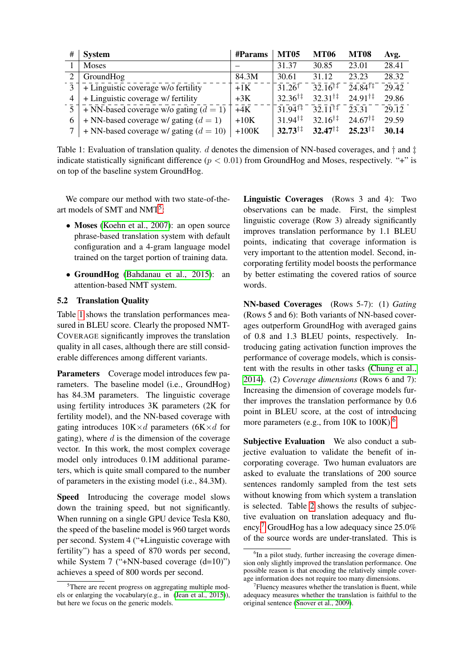<span id="page-6-1"></span>

| #              | <b>System</b>                            | #Params | <b>MT05</b>               | <b>MT06</b>               | <b>MT08</b>       | Avg.  |
|----------------|------------------------------------------|---------|---------------------------|---------------------------|-------------------|-------|
|                | <b>Moses</b>                             |         | 31.37                     | 30.85                     | 23.01             | 28.41 |
|                | GroundHog                                | 84.3M   | 30.61                     | 31.12                     | 23.23             | 28.32 |
| $\mathcal{E}$  | + Linguistic coverage w/o fertility      | $+1K$   | $31.26^{\dagger}$         | $32.16^{\dagger}$         | $24.84^{\dagger}$ | 29.42 |
| $\overline{4}$ | + Linguistic coverage w/ fertility       | $+3K$   | $32.36^{\dagger\ddagger}$ | $32.31^{\dagger\ddagger}$ | $24.91^{\dagger}$ | 29.86 |
| $\mathcal{F}$  | + NN-based coverage w/o gating $(d = 1)$ | $+4K$   | $31.94$ <sup>17</sup>     | $-32.11$ <sup>T</sup>     | 23.31             | 29.12 |
| 6              | + NN-based coverage w/ gating $(d = 1)$  | $+10K$  | $31.94^{\dagger}$         | $32.16^{\dagger}$         | $24.67^{\dagger}$ | 29.59 |
|                | + NN-based coverage w/ gating $(d = 10)$ | $+100K$ | $32.73^{\dagger\ddagger}$ | $32.47^{\dagger\ddagger}$ | $25.23^{\dagger}$ | 30.14 |

Table 1: Evaluation of translation quality. d denotes the dimension of NN-based coverages, and  $\dagger$  and  $\dagger$ indicate statistically significant difference ( $p < 0.01$ ) from GroundHog and Moses, respectively. "+" is on top of the baseline system GroundHog.

We compare our method with two state-of-the-art models of SMT and NMT<sup>[5](#page-6-0)</sup>:

- Moses [\(Koehn et al., 2007\)](#page-9-10): an open source phrase-based translation system with default configuration and a 4-gram language model trained on the target portion of training data.
- GroundHog [\(Bahdanau et al., 2015\)](#page-9-0): an attention-based NMT system.

## 5.2 Translation Quality

Table [1](#page-6-1) shows the translation performances measured in BLEU score. Clearly the proposed NMT-COVERAGE significantly improves the translation quality in all cases, although there are still considerable differences among different variants.

Parameters Coverage model introduces few parameters. The baseline model (i.e., GroundHog) has 84.3M parameters. The linguistic coverage using fertility introduces 3K parameters (2K for fertility model), and the NN-based coverage with gating introduces  $10K \times d$  parameters  $(6K \times d$  for gating), where  $d$  is the dimension of the coverage vector. In this work, the most complex coverage model only introduces 0.1M additional parameters, which is quite small compared to the number of parameters in the existing model (i.e., 84.3M).

Speed Introducing the coverage model slows down the training speed, but not significantly. When running on a single GPU device Tesla K80, the speed of the baseline model is 960 target words per second. System 4 ("+Linguistic coverage with fertility") has a speed of 870 words per second, while System 7 ("+NN-based coverage  $(d=10)$ ") achieves a speed of 800 words per second.

Linguistic Coverages (Rows 3 and 4): Two observations can be made. First, the simplest linguistic coverage (Row 3) already significantly improves translation performance by 1.1 BLEU points, indicating that coverage information is very important to the attention model. Second, incorporating fertility model boosts the performance by better estimating the covered ratios of source words.

NN-based Coverages (Rows 5-7): (1) *Gating* (Rows 5 and 6): Both variants of NN-based coverages outperform GroundHog with averaged gains of 0.8 and 1.3 BLEU points, respectively. Introducing gating activation function improves the performance of coverage models, which is consistent with the results in other tasks [\(Chung et al.,](#page-9-8) [2014\)](#page-9-8). (2) *Coverage dimensions* (Rows 6 and 7): Increasing the dimension of coverage models further improves the translation performance by 0.6 point in BLEU score, at the cost of introducing more parameters (e.g., from  $10K$  to  $100K$ ).<sup>[6](#page-6-2)</sup>

Subjective Evaluation We also conduct a subjective evaluation to validate the benefit of incorporating coverage. Two human evaluators are asked to evaluate the translations of 200 source sentences randomly sampled from the test sets without knowing from which system a translation is selected. Table [2](#page-7-0) shows the results of subjective evaluation on translation adequacy and flu-ency.<sup>[7](#page-6-3)</sup> GroudHog has a low adequacy since  $25.0\%$ of the source words are under-translated. This is

<span id="page-6-0"></span> $5$ There are recent progress on aggregating multiple models or enlarging the vocabulary(e.g., in [\(Jean et al., 2015\)](#page-9-11)), but here we focus on the generic models.

<span id="page-6-2"></span><sup>&</sup>lt;sup>6</sup>In a pilot study, further increasing the coverage dimension only slightly improved the translation performance. One possible reason is that encoding the relatively simple coverage information does not require too many dimensions.

<span id="page-6-3"></span><sup>&</sup>lt;sup>7</sup> Fluency measures whether the translation is fluent, while adequacy measures whether the translation is faithful to the original sentence [\(Snover et al., 2009\)](#page-10-7).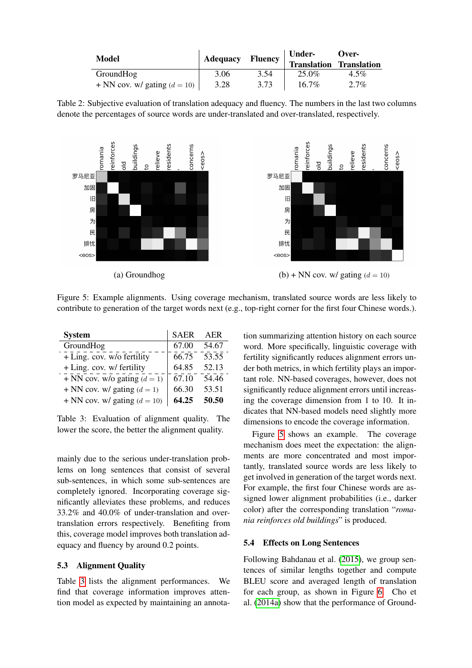<span id="page-7-0"></span>

| Model                          | Adequacy | Fluency <sup>1</sup> | <b>Under-</b>                  | Over-   |  |
|--------------------------------|----------|----------------------|--------------------------------|---------|--|
|                                |          |                      | <b>Translation Translation</b> |         |  |
| GroundHog                      | 3.06     | 3.54                 | 25.0%                          | $4.5\%$ |  |
| + NN cov. w/ gating $(d = 10)$ | 3.28     | 3.73                 | $16.7\%$                       | $2.7\%$ |  |

Table 2: Subjective evaluation of translation adequacy and fluency. The numbers in the last two columns denote the percentages of source words are under-translated and over-translated, respectively.

<span id="page-7-2"></span>

Figure 5: Example alignments. Using coverage mechanism, translated source words are less likely to contribute to generation of the target words next (e.g., top-right corner for the first four Chinese words.).

<span id="page-7-1"></span>

| <b>System</b>                  | <b>SAER</b> | AER   |
|--------------------------------|-------------|-------|
| GroundHog                      | 67.00       | 54.67 |
| + Ling. cov. w/o fertility     | 66.75       | 53.55 |
| + Ling. cov. w/ fertility      | 64.85       | 52.13 |
| + NN cov. w/o gating $(d = 1)$ | 67.10       | 54.46 |
| + NN cov. w/ gating $(d = 1)$  | 66.30       | 53.51 |
| + NN cov. w/ gating $(d = 10)$ | 64.25       | 50.50 |

Table 3: Evaluation of alignment quality. The lower the score, the better the alignment quality.

mainly due to the serious under-translation problems on long sentences that consist of several sub-sentences, in which some sub-sentences are completely ignored. Incorporating coverage significantly alleviates these problems, and reduces 33.2% and 40.0% of under-translation and overtranslation errors respectively. Benefiting from this, coverage model improves both translation adequacy and fluency by around 0.2 points.

## 5.3 Alignment Quality

Table [3](#page-7-1) lists the alignment performances. We find that coverage information improves attention model as expected by maintaining an annotation summarizing attention history on each source word. More specifically, linguistic coverage with fertility significantly reduces alignment errors under both metrics, in which fertility plays an important role. NN-based coverages, however, does not significantly reduce alignment errors until increasing the coverage dimension from 1 to 10. It indicates that NN-based models need slightly more dimensions to encode the coverage information.

Figure [5](#page-7-2) shows an example. The coverage mechanism does meet the expectation: the alignments are more concentrated and most importantly, translated source words are less likely to get involved in generation of the target words next. For example, the first four Chinese words are assigned lower alignment probabilities (i.e., darker color) after the corresponding translation "*romania reinforces old buildings*" is produced.

#### 5.4 Effects on Long Sentences

Following Bahdanau et al. [\(2015\)](#page-9-0), we group sentences of similar lengths together and compute BLEU score and averaged length of translation for each group, as shown in Figure [6.](#page-8-0) Cho et al. [\(2014a\)](#page-9-12) show that the performance of Ground-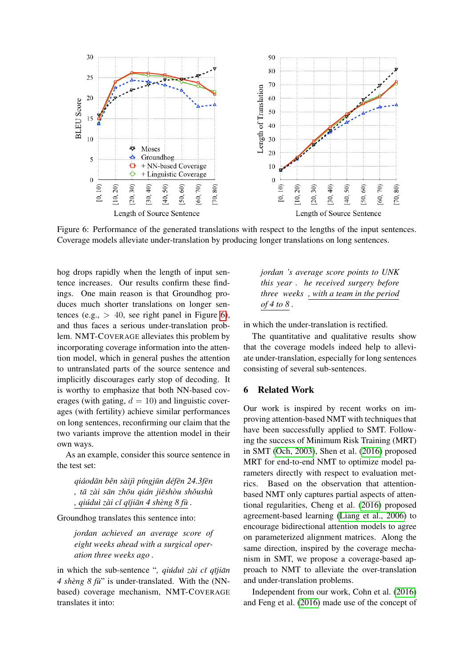<span id="page-8-0"></span>

Figure 6: Performance of the generated translations with respect to the lengths of the input sentences. Coverage models alleviate under-translation by producing longer translations on long sentences.

hog drops rapidly when the length of input sentence increases. Our results confirm these findings. One main reason is that Groundhog produces much shorter translations on longer sentences (e.g.,  $> 40$ , see right panel in Figure [6\)](#page-8-0), and thus faces a serious under-translation problem. NMT-COVERAGE alleviates this problem by incorporating coverage information into the attention model, which in general pushes the attention to untranslated parts of the source sentence and implicitly discourages early stop of decoding. It is worthy to emphasize that both NN-based coverages (with gating,  $d = 10$ ) and linguistic coverages (with fertility) achieve similar performances on long sentences, reconfirming our claim that the two variants improve the attention model in their own ways.

As an example, consider this source sentence in the test set:

*qiaod ´ an b ¯ en s ˇ aij ` `ı p´ıngjun d ¯ ef´ en 24.3f ¯ en¯ , ta z ¯ ai s ` an zh ¯ ou qi ¯ an ji ´ esh ¯ ou sh ` oush ˇ u` , qiudu ´ `ı zai c ` ˇı q¯ıjian 4 sh ¯ eng 8 f ` u` .*

Groundhog translates this sentence into:

*jordan achieved an average score of eight weeks ahead with a surgical operation three weeks ago .*

in which the sub-sentence "*, qiúduì zài cǐ qījiān* 4 shèng 8 fù" is under-translated. With the (NNbased) coverage mechanism, NMT-COVERAGE translates it into:

*jordan 's average score points to UNK this year . he received surgery before three weeks , with a team in the period of 4 to 8 .*

in which the under-translation is rectified.

The quantitative and qualitative results show that the coverage models indeed help to alleviate under-translation, especially for long sentences consisting of several sub-sentences.

## 6 Related Work

Our work is inspired by recent works on improving attention-based NMT with techniques that have been successfully applied to SMT. Following the success of Minimum Risk Training (MRT) in SMT [\(Och, 2003\)](#page-10-8), Shen et al. [\(2016\)](#page-10-3) proposed MRT for end-to-end NMT to optimize model parameters directly with respect to evaluation metrics. Based on the observation that attentionbased NMT only captures partial aspects of attentional regularities, Cheng et al. [\(2016\)](#page-9-13) proposed agreement-based learning [\(Liang et al., 2006\)](#page-10-9) to encourage bidirectional attention models to agree on parameterized alignment matrices. Along the same direction, inspired by the coverage mechanism in SMT, we propose a coverage-based approach to NMT to alleviate the over-translation and under-translation problems.

Independent from our work, Cohn et al. [\(2016\)](#page-9-6) and Feng et al. [\(2016\)](#page-9-14) made use of the concept of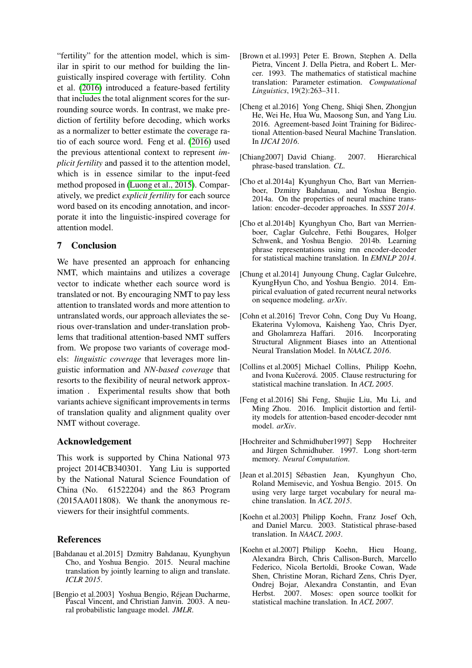"fertility" for the attention model, which is similar in spirit to our method for building the linguistically inspired coverage with fertility. Cohn et al. [\(2016\)](#page-9-6) introduced a feature-based fertility that includes the total alignment scores for the surrounding source words. In contrast, we make prediction of fertility before decoding, which works as a normalizer to better estimate the coverage ratio of each source word. Feng et al. [\(2016\)](#page-9-14) used the previous attentional context to represent *implicit fertility* and passed it to the attention model, which is in essence similar to the input-feed method proposed in [\(Luong et al., 2015\)](#page-10-10). Comparatively, we predict *explicit fertility* for each source word based on its encoding annotation, and incorporate it into the linguistic-inspired coverage for attention model.

# 7 Conclusion

We have presented an approach for enhancing NMT, which maintains and utilizes a coverage vector to indicate whether each source word is translated or not. By encouraging NMT to pay less attention to translated words and more attention to untranslated words, our approach alleviates the serious over-translation and under-translation problems that traditional attention-based NMT suffers from. We propose two variants of coverage models: *linguistic coverage* that leverages more linguistic information and *NN-based coverage* that resorts to the flexibility of neural network approximation . Experimental results show that both variants achieve significant improvements in terms of translation quality and alignment quality over NMT without coverage.

## Acknowledgement

This work is supported by China National 973 project 2014CB340301. Yang Liu is supported by the National Natural Science Foundation of China (No. 61522204) and the 863 Program (2015AA011808). We thank the anonymous reviewers for their insightful comments.

## References

- <span id="page-9-0"></span>[Bahdanau et al.2015] Dzmitry Bahdanau, Kyunghyun Cho, and Yoshua Bengio. 2015. Neural machine translation by jointly learning to align and translate. *ICLR 2015*.
- <span id="page-9-3"></span>[Bengio et al.2003] Yoshua Bengio, Réjean Ducharme, Pascal Vincent, and Christian Janvin. 2003. A neural probabilistic language model. *JMLR*.
- <span id="page-9-7"></span>[Brown et al.1993] Peter E. Brown, Stephen A. Della Pietra, Vincent J. Della Pietra, and Robert L. Mercer. 1993. The mathematics of statistical machine translation: Parameter estimation. *Computational Linguistics*, 19(2):263–311.
- <span id="page-9-13"></span>[Cheng et al. 2016] Yong Cheng, Shiqi Shen, Zhongjun He, Wei He, Hua Wu, Maosong Sun, and Yang Liu. 2016. Agreement-based Joint Training for Bidirectional Attention-based Neural Machine Translation. In *IJCAI 2016*.
- <span id="page-9-2"></span>[Chiang2007] David Chiang. 2007. Hierarchical phrase-based translation. *CL*.
- <span id="page-9-12"></span>[Cho et al.2014a] Kyunghyun Cho, Bart van Merrienboer, Dzmitry Bahdanau, and Yoshua Bengio. 2014a. On the properties of neural machine translation: encoder–decoder approaches. In *SSST 2014*.
- <span id="page-9-5"></span>[Cho et al.2014b] Kyunghyun Cho, Bart van Merrienboer, Caglar Gulcehre, Fethi Bougares, Holger Schwenk, and Yoshua Bengio. 2014b. Learning phrase representations using rnn encoder-decoder for statistical machine translation. In *EMNLP 2014*.
- <span id="page-9-8"></span>[Chung et al.2014] Junyoung Chung, Caglar Gulcehre, KyungHyun Cho, and Yoshua Bengio. 2014. Empirical evaluation of gated recurrent neural networks on sequence modeling. *arXiv*.
- <span id="page-9-6"></span>[Cohn et al.2016] Trevor Cohn, Cong Duy Vu Hoang, Ekaterina Vylomova, Kaisheng Yao, Chris Dyer, and Gholamreza Haffari. 2016. Incorporating Structural Alignment Biases into an Attentional Neural Translation Model. In *NAACL 2016*.
- <span id="page-9-9"></span>[Collins et al.2005] Michael Collins, Philipp Koehn, and Ivona Kučerová. 2005. Clause restructuring for statistical machine translation. In *ACL 2005*.
- <span id="page-9-14"></span>[Feng et al.2016] Shi Feng, Shujie Liu, Mu Li, and Ming Zhou. 2016. Implicit distortion and fertility models for attention-based encoder-decoder nmt model. *arXiv*.
- <span id="page-9-4"></span>[Hochreiter and Schmidhuber1997] Sepp Hochreiter and Jürgen Schmidhuber. 1997. Long short-term memory. *Neural Computation*.
- <span id="page-9-11"></span>[Jean et al.2015] Sébastien Jean, Kyunghyun Cho, Roland Memisevic, and Yoshua Bengio. 2015. On using very large target vocabulary for neural machine translation. In *ACL 2015*.
- <span id="page-9-1"></span>[Koehn et al.2003] Philipp Koehn, Franz Josef Och, and Daniel Marcu. 2003. Statistical phrase-based translation. In *NAACL 2003*.
- <span id="page-9-10"></span>[Koehn et al.2007] Philipp Koehn, Hieu Hoang, Alexandra Birch, Chris Callison-Burch, Marcello Federico, Nicola Bertoldi, Brooke Cowan, Wade Shen, Christine Moran, Richard Zens, Chris Dyer, Ondrej Bojar, Alexandra Constantin, and Evan Herbst. 2007. Moses: open source toolkit for statistical machine translation. In *ACL 2007*.